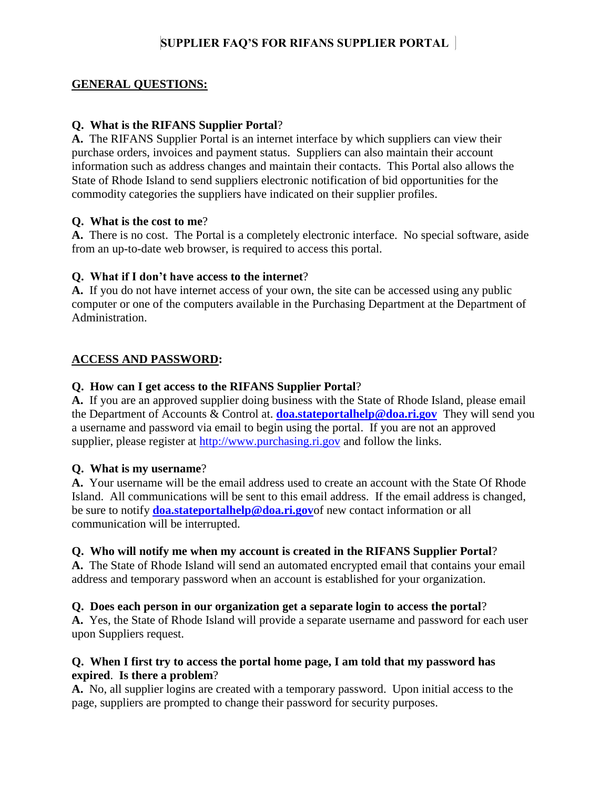# **SUPPLIER FAQ'S FOR RIFANS SUPPLIER PORTAL**

### **GENERAL QUESTIONS:**

### **Q. What is the RIFANS Supplier Portal**?

**A.** The RIFANS Supplier Portal is an internet interface by which suppliers can view their purchase orders, invoices and payment status. Suppliers can also maintain their account information such as address changes and maintain their contacts. This Portal also allows the State of Rhode Island to send suppliers electronic notification of bid opportunities for the commodity categories the suppliers have indicated on their supplier profiles.

### **Q. What is the cost to me**?

**A.** There is no cost. The Portal is a completely electronic interface. No special software, aside from an up-to-date web browser, is required to access this portal.

### **Q. What if I don't have access to the internet**?

**A.** If you do not have internet access of your own, the site can be accessed using any public computer or one of the computers available in the Purchasing Department at the Department of Administration.

### **ACCESS AND PASSWORD:**

### **Q. How can I get access to the RIFANS Supplier Portal**?

**A.** If you are an approved supplier doing business with the State of Rhode Island, please email the Department of Accounts & Control at. **[doa.stateportalhelp@doa.ri.gov](mailto:doa.stateportalhelp@doa.ri.gov)** They will send you a username and password via email to begin using the portal. If you are not an approved supplier, please register at [http://www.purchasing.ri.gov](http://www.purchasing.ri.gov/) and follow the links.

### **Q. What is my username**?

**A.** Your username will be the email address used to create an account with the State Of Rhode Island. All communications will be sent to this email address. If the email address is changed, be sure to notify **[doa.stateportalhelp@doa.ri.gov](mailto:doa.stateportalhelp@doa.ri.gov)**of new contact information or all communication will be interrupted.

### **Q. Who will notify me when my account is created in the RIFANS Supplier Portal**?

**A.** The State of Rhode Island will send an automated encrypted email that contains your email address and temporary password when an account is established for your organization.

### **Q. Does each person in our organization get a separate login to access the portal**?

**A.** Yes, the State of Rhode Island will provide a separate username and password for each user upon Suppliers request.

### **Q. When I first try to access the portal home page, I am told that my password has expired**. **Is there a problem**?

**A.** No, all supplier logins are created with a temporary password. Upon initial access to the page, suppliers are prompted to change their password for security purposes.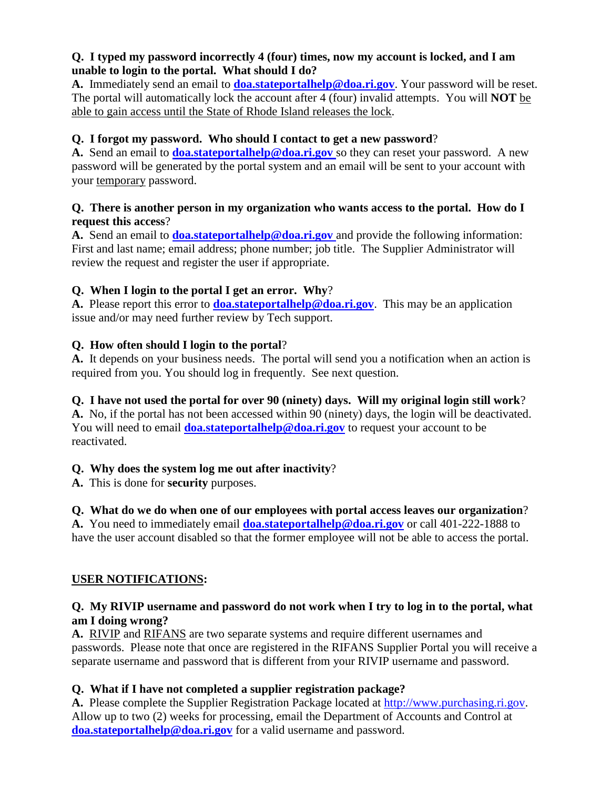## **Q. I typed my password incorrectly 4 (four) times, now my account is locked, and I am unable to login to the portal. What should I do?**

**A.** Immediately send an email to **[doa.stateportalhelp@doa.ri.gov](mailto:doa.stateportalhelp@doa.ri.gov)**. Your password will be reset. The portal will automatically lock the account after 4 (four) invalid attempts. You will **NOT** be able to gain access until the State of Rhode Island releases the lock.

## **Q. I forgot my password. Who should I contact to get a new password**?

A. Send an email to **[doa.stateportalhelp@doa.ri.gov](mailto:doa.stateportalhelp@doa.ri.gov)** so they can reset your password. A new password will be generated by the portal system and an email will be sent to your account with your temporary password.

## **Q. There is another person in my organization who wants access to the portal. How do I request this access**?

A. Send an email to **[doa.stateportalhelp@doa.ri.gov](mailto:doa.stateportalhelp@doa.ri.gov)** and provide the following information: First and last name; email address; phone number; job title. The Supplier Administrator will review the request and register the user if appropriate.

# **Q. When I login to the portal I get an error. Why**?

**A.** Please report this error to **[doa.stateportalhelp@doa.ri.gov](mailto:doa.stateportalhelp@doa.ri.gov)**. This may be an application issue and/or may need further review by Tech support.

## **Q. How often should I login to the portal**?

**A.** It depends on your business needs. The portal will send you a notification when an action is required from you. You should log in frequently. See next question.

# **Q. I have not used the portal for over 90 (ninety) days. Will my original login still work**?

**A.** No, if the portal has not been accessed within 90 (ninety) days, the login will be deactivated. You will need to email **[doa.stateportalhelp@doa.ri.gov](mailto:doa.stateportalhelp@doa.ri.gov)** to request your account to be reactivated.

## **Q. Why does the system log me out after inactivity**?

**A.** This is done for **security** purposes.

# **Q. What do we do when one of our employees with portal access leaves our organization**?

**A.** You need to immediately email **[doa.stateportalhelp@doa.ri.gov](mailto:doa.stateportalhelp@doa.ri.gov)** or call 401-222-1888 to have the user account disabled so that the former employee will not be able to access the portal.

# **USER NOTIFICATIONS:**

## **Q. My RIVIP username and password do not work when I try to log in to the portal, what am I doing wrong?**

**A.** RIVIP and RIFANS are two separate systems and require different usernames and passwords. Please note that once are registered in the RIFANS Supplier Portal you will receive a separate username and password that is different from your RIVIP username and password.

# **Q. What if I have not completed a supplier registration package?**

**A.** Please complete the Supplier Registration Package located at [http://www.purchasing.ri.gov.](http://www.purchasing.ri.gov/) Allow up to two (2) weeks for processing, email the Department of Accounts and Control at **[doa.stateportalhelp@doa.ri.gov](mailto:doa.stateportalhelp@doa.ri.gov)** for a valid username and password.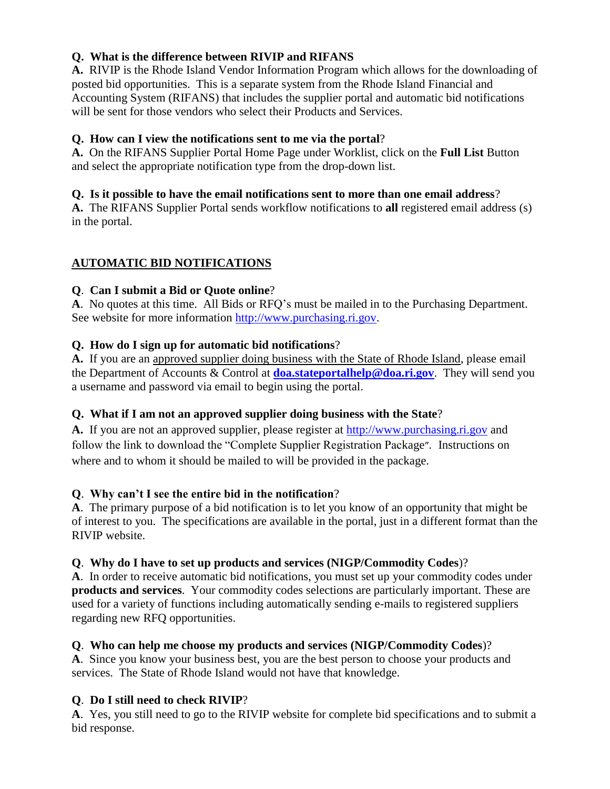## **Q. What is the difference between RIVIP and RIFANS**

**A.** RIVIP is the Rhode Island Vendor Information Program which allows for the downloading of posted bid opportunities. This is a separate system from the Rhode Island Financial and Accounting System (RIFANS) that includes the supplier portal and automatic bid notifications will be sent for those vendors who select their Products and Services.

## **Q. How can I view the notifications sent to me via the portal**?

**A.** On the RIFANS Supplier Portal Home Page under Worklist, click on the **Full List** Button and select the appropriate notification type from the drop-down list.

## **Q. Is it possible to have the email notifications sent to more than one email address**?

**A.** The RIFANS Supplier Portal sends workflow notifications to **all** registered email address (s) in the portal.

# **AUTOMATIC BID NOTIFICATIONS**

# **Q**. **Can I submit a Bid or Quote online**?

**A**. No quotes at this time. All Bids or RFQ's must be mailed in to the Purchasing Department. See website for more information [http://www.purchasing.ri.gov.](http://www.purchasing.ri.gov/)

## **Q. How do I sign up for automatic bid notifications**?

**A.** If you are an approved supplier doing business with the State of Rhode Island, please email the Department of Accounts & Control at **[doa.stateportalhelp@doa.ri.gov](mailto:doa.stateportalhelp@doa.ri.gov)**. They will send you a username and password via email to begin using the portal.

# **Q. What if I am not an approved supplier doing business with the State**?

**A.** If you are not an approved supplier, please register at [http://www.purchasing.ri.gov](http://www.purchasing.ri.gov/) and follow the link to download the "Complete Supplier Registration Package["](http://www.purchasing.ri.gov/RIFANSCoverPage.aspx). Instructions on where and to whom it should be mailed to will be provided in the package.

# **Q**. **Why can't I see the entire bid in the notification**?

**A**. The primary purpose of a bid notification is to let you know of an opportunity that might be of interest to you. The specifications are available in the portal, just in a different format than the RIVIP website.

## **Q**. **Why do I have to set up products and services (NIGP/Commodity Codes**)?

**A**. In order to receive automatic bid notifications, you must set up your commodity codes under **products and services**. Your commodity codes selections are particularly important. These are used for a variety of functions including automatically sending e-mails to registered suppliers regarding new RFQ opportunities.

## **Q**. **Who can help me choose my products and services (NIGP/Commodity Codes**)?

**A**. Since you know your business best, you are the best person to choose your products and services. The State of Rhode Island would not have that knowledge.

# **Q**. **Do I still need to check RIVIP**?

**A**. Yes, you still need to go to the RIVIP website for complete bid specifications and to submit a bid response.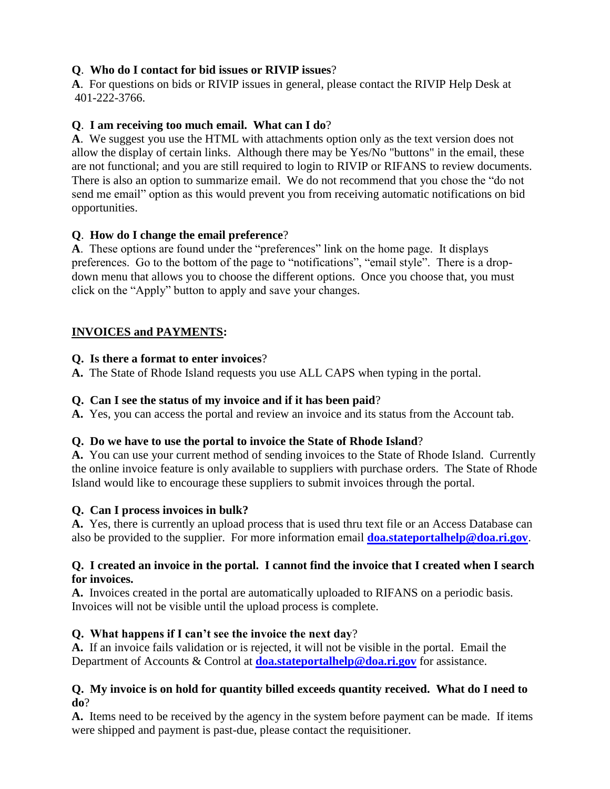# **Q**. **Who do I contact for bid issues or RIVIP issues**?

**A**. For questions on bids or RIVIP issues in general, please contact the RIVIP Help Desk at 401-222-3766.

## **Q**. **I am receiving too much email. What can I do**?

**A**. We suggest you use the HTML with attachments option only as the text version does not allow the display of certain links. Although there may be Yes/No "buttons" in the email, these are not functional; and you are still required to login to RIVIP or RIFANS to review documents. There is also an option to summarize email. We do not recommend that you chose the "do not send me email" option as this would prevent you from receiving automatic notifications on bid opportunities.

## **Q**. **How do I change the email preference**?

**A**. These options are found under the "preferences" link on the home page. It displays preferences. Go to the bottom of the page to "notifications", "email style". There is a dropdown menu that allows you to choose the different options. Once you choose that, you must click on the "Apply" button to apply and save your changes.

# **INVOICES and PAYMENTS:**

## **Q. Is there a format to enter invoices**?

**A.** The State of Rhode Island requests you use ALL CAPS when typing in the portal.

## **Q. Can I see the status of my invoice and if it has been paid**?

**A.** Yes, you can access the portal and review an invoice and its status from the Account tab.

# **Q. Do we have to use the portal to invoice the State of Rhode Island**?

**A.** You can use your current method of sending invoices to the State of Rhode Island. Currently the online invoice feature is only available to suppliers with purchase orders. The State of Rhode Island would like to encourage these suppliers to submit invoices through the portal.

# **Q. Can I process invoices in bulk?**

**A.** Yes, there is currently an upload process that is used thru text file or an Access Database can also be provided to the supplier. For more information email **[doa.stateportalhelp@doa.ri.gov](mailto:doa.stateportalhelp@doa.ri.gov)**.

## **Q. I created an invoice in the portal. I cannot find the invoice that I created when I search for invoices.**

**A.** Invoices created in the portal are automatically uploaded to RIFANS on a periodic basis. Invoices will not be visible until the upload process is complete.

# **Q. What happens if I can't see the invoice the next day**?

**A.** If an invoice fails validation or is rejected, it will not be visible in the portal. Email the Department of Accounts & Control at **[doa.stateportalhelp@doa.ri.gov](mailto:doa.stateportalhelp@doa.ri.gov)** for assistance.

## **Q. My invoice is on hold for quantity billed exceeds quantity received. What do I need to do**?

**A.** Items need to be received by the agency in the system before payment can be made. If items were shipped and payment is past-due, please contact the requisitioner.